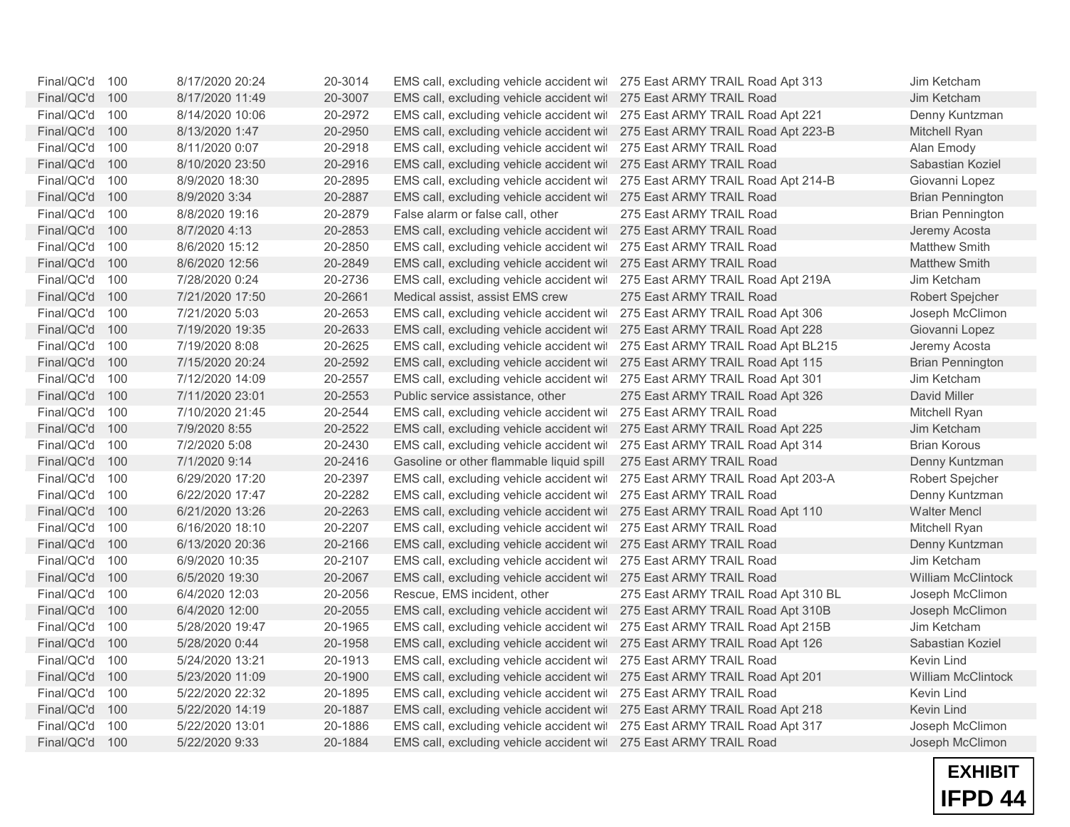| Final/QC'd 100 |     | 8/17/2020 20:24 | 20-3014 | EMS call, excluding vehicle accident wil 275 East ARMY TRAIL Road Apt 313 |                                     | Jim Ketcham               |
|----------------|-----|-----------------|---------|---------------------------------------------------------------------------|-------------------------------------|---------------------------|
| Final/QC'd     | 100 | 8/17/2020 11:49 | 20-3007 | EMS call, excluding vehicle accident wit                                  | 275 East ARMY TRAIL Road            | Jim Ketcham               |
| Final/QC'd     | 100 | 8/14/2020 10:06 | 20-2972 | EMS call, excluding vehicle accident wit                                  | 275 East ARMY TRAIL Road Apt 221    | Denny Kuntzman            |
| Final/QC'd     | 100 | 8/13/2020 1:47  | 20-2950 | EMS call, excluding vehicle accident wit                                  | 275 East ARMY TRAIL Road Apt 223-B  | Mitchell Ryan             |
| Final/QC'd     | 100 | 8/11/2020 0:07  | 20-2918 | EMS call, excluding vehicle accident wit                                  | 275 East ARMY TRAIL Road            | Alan Emody                |
| Final/QC'd     | 100 | 8/10/2020 23:50 | 20-2916 | EMS call, excluding vehicle accident wil                                  | 275 East ARMY TRAIL Road            | Sabastian Koziel          |
| Final/QC'd     | 100 | 8/9/2020 18:30  | 20-2895 | EMS call, excluding vehicle accident wit                                  | 275 East ARMY TRAIL Road Apt 214-B  | Giovanni Lopez            |
| Final/QC'd     | 100 | 8/9/2020 3:34   | 20-2887 | EMS call, excluding vehicle accident wit                                  | 275 East ARMY TRAIL Road            | <b>Brian Pennington</b>   |
| Final/QC'd     | 100 | 8/8/2020 19:16  | 20-2879 | False alarm or false call, other                                          | 275 East ARMY TRAIL Road            | <b>Brian Pennington</b>   |
| Final/QC'd     | 100 | 8/7/2020 4:13   | 20-2853 | EMS call, excluding vehicle accident wil 275 East ARMY TRAIL Road         |                                     | Jeremy Acosta             |
| Final/QC'd     | 100 | 8/6/2020 15:12  | 20-2850 | EMS call, excluding vehicle accident wil                                  | 275 East ARMY TRAIL Road            | Matthew Smith             |
| Final/QC'd     | 100 | 8/6/2020 12:56  | 20-2849 | EMS call, excluding vehicle accident wil 275 East ARMY TRAIL Road         |                                     | <b>Matthew Smith</b>      |
| Final/QC'd     | 100 | 7/28/2020 0:24  | 20-2736 | EMS call, excluding vehicle accident wil                                  | 275 East ARMY TRAIL Road Apt 219A   | Jim Ketcham               |
| Final/QC'd     | 100 | 7/21/2020 17:50 | 20-2661 | Medical assist, assist EMS crew                                           | 275 East ARMY TRAIL Road            | Robert Spejcher           |
| Final/QC'd     | 100 | 7/21/2020 5:03  | 20-2653 | EMS call, excluding vehicle accident wil                                  | 275 East ARMY TRAIL Road Apt 306    | Joseph McClimon           |
| Final/QC'd     | 100 | 7/19/2020 19:35 | 20-2633 | EMS call, excluding vehicle accident wit                                  | 275 East ARMY TRAIL Road Apt 228    | Giovanni Lopez            |
| Final/QC'd     | 100 | 7/19/2020 8:08  | 20-2625 | EMS call, excluding vehicle accident wit                                  | 275 East ARMY TRAIL Road Apt BL215  | Jeremy Acosta             |
| Final/QC'd     | 100 | 7/15/2020 20:24 | 20-2592 | EMS call, excluding vehicle accident wil                                  | 275 East ARMY TRAIL Road Apt 115    | <b>Brian Pennington</b>   |
| Final/QC'd     | 100 | 7/12/2020 14:09 | 20-2557 | EMS call, excluding vehicle accident wil                                  | 275 East ARMY TRAIL Road Apt 301    | Jim Ketcham               |
| Final/QC'd     | 100 | 7/11/2020 23:01 | 20-2553 | Public service assistance, other                                          | 275 East ARMY TRAIL Road Apt 326    | David Miller              |
| Final/QC'd     | 100 | 7/10/2020 21:45 | 20-2544 | EMS call, excluding vehicle accident wil                                  | 275 East ARMY TRAIL Road            | Mitchell Ryan             |
| Final/QC'd     | 100 | 7/9/2020 8:55   | 20-2522 | EMS call, excluding vehicle accident wil                                  | 275 East ARMY TRAIL Road Apt 225    | Jim Ketcham               |
| Final/QC'd     | 100 | 7/2/2020 5:08   | 20-2430 | EMS call, excluding vehicle accident wit                                  | 275 East ARMY TRAIL Road Apt 314    | <b>Brian Korous</b>       |
| Final/QC'd     | 100 | 7/1/2020 9:14   | 20-2416 | Gasoline or other flammable liquid spill                                  | 275 East ARMY TRAIL Road            | Denny Kuntzman            |
| Final/QC'd     | 100 | 6/29/2020 17:20 | 20-2397 | EMS call, excluding vehicle accident wil                                  | 275 East ARMY TRAIL Road Apt 203-A  | Robert Spejcher           |
| Final/QC'd     | 100 | 6/22/2020 17:47 | 20-2282 | EMS call, excluding vehicle accident wil                                  | 275 East ARMY TRAIL Road            | Denny Kuntzman            |
| Final/QC'd     | 100 | 6/21/2020 13:26 | 20-2263 | EMS call, excluding vehicle accident wil                                  | 275 East ARMY TRAIL Road Apt 110    | <b>Walter Mencl</b>       |
| Final/QC'd     | 100 | 6/16/2020 18:10 | 20-2207 | EMS call, excluding vehicle accident wil                                  | 275 East ARMY TRAIL Road            | Mitchell Ryan             |
| Final/QC'd     | 100 | 6/13/2020 20:36 | 20-2166 | EMS call, excluding vehicle accident wit                                  | 275 East ARMY TRAIL Road            | Denny Kuntzman            |
| Final/QC'd     | 100 | 6/9/2020 10:35  | 20-2107 | EMS call, excluding vehicle accident wil                                  | 275 East ARMY TRAIL Road            | Jim Ketcham               |
| Final/QC'd     | 100 | 6/5/2020 19:30  | 20-2067 | EMS call, excluding vehicle accident wil 275 East ARMY TRAIL Road         |                                     | <b>William McClintock</b> |
| Final/QC'd     | 100 | 6/4/2020 12:03  | 20-2056 | Rescue, EMS incident, other                                               | 275 East ARMY TRAIL Road Apt 310 BL | Joseph McClimon           |
| Final/QC'd     | 100 | 6/4/2020 12:00  | 20-2055 | EMS call, excluding vehicle accident wil                                  | 275 East ARMY TRAIL Road Apt 310B   | Joseph McClimon           |
| Final/QC'd     | 100 | 5/28/2020 19:47 | 20-1965 | EMS call, excluding vehicle accident wit                                  | 275 East ARMY TRAIL Road Apt 215B   | Jim Ketcham               |
| Final/QC'd     | 100 | 5/28/2020 0:44  | 20-1958 | EMS call, excluding vehicle accident wil 275 East ARMY TRAIL Road Apt 126 |                                     | Sabastian Koziel          |
| Final/QC'd     | 100 | 5/24/2020 13:21 | 20-1913 | EMS call, excluding vehicle accident wil                                  | 275 East ARMY TRAIL Road            | Kevin Lind                |
| Final/QC'd     | 100 | 5/23/2020 11:09 | 20-1900 | EMS call, excluding vehicle accident wil                                  | 275 East ARMY TRAIL Road Apt 201    | <b>William McClintock</b> |
| Final/QC'd     | 100 | 5/22/2020 22:32 | 20-1895 | EMS call, excluding vehicle accident wit                                  | 275 East ARMY TRAIL Road            | Kevin Lind                |
| Final/QC'd     | 100 | 5/22/2020 14:19 | 20-1887 | EMS call, excluding vehicle accident wil                                  | 275 East ARMY TRAIL Road Apt 218    | Kevin Lind                |
| Final/QC'd     | 100 | 5/22/2020 13:01 | 20-1886 | EMS call, excluding vehicle accident wit                                  | 275 East ARMY TRAIL Road Apt 317    | Joseph McClimon           |
| Final/QC'd     | 100 | 5/22/2020 9:33  | 20-1884 | EMS call, excluding vehicle accident wil 275 East ARMY TRAIL Road         |                                     | Joseph McClimon           |

**EXHIBIT IFPD 44**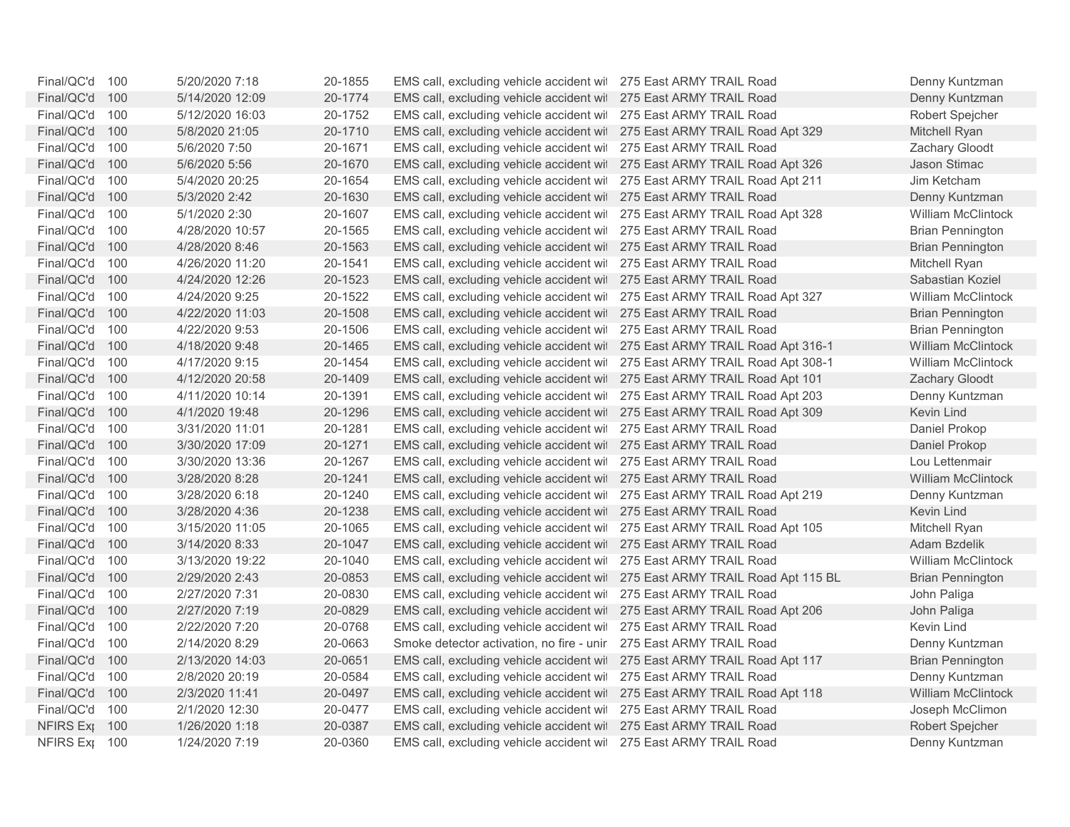| Final/QC'd 100   |     | 5/20/2020 7:18  | 20-1855 | EMS call, excluding vehicle accident wil 275 East ARMY TRAIL Road           |                                                                              | Denny Kuntzman            |
|------------------|-----|-----------------|---------|-----------------------------------------------------------------------------|------------------------------------------------------------------------------|---------------------------|
| Final/QC'd 100   |     | 5/14/2020 12:09 | 20-1774 | EMS call, excluding vehicle accident wil 275 East ARMY TRAIL Road           |                                                                              | Denny Kuntzman            |
| Final/QC'd       | 100 | 5/12/2020 16:03 | 20-1752 | EMS call, excluding vehicle accident wil 275 East ARMY TRAIL Road           |                                                                              | Robert Spejcher           |
| Final/QC'd       | 100 | 5/8/2020 21:05  | 20-1710 | EMS call, excluding vehicle accident wil 275 East ARMY TRAIL Road Apt 329   |                                                                              | Mitchell Ryan             |
| Final/QC'd       | 100 | 5/6/2020 7:50   | 20-1671 | EMS call, excluding vehicle accident wil 275 East ARMY TRAIL Road           |                                                                              | Zachary Gloodt            |
| Final/QC'd       | 100 | 5/6/2020 5:56   | 20-1670 | EMS call, excluding vehicle accident wil 275 East ARMY TRAIL Road Apt 326   |                                                                              | Jason Stimac              |
| Final/QC'd       | 100 | 5/4/2020 20:25  | 20-1654 | EMS call, excluding vehicle accident wil 275 East ARMY TRAIL Road Apt 211   |                                                                              | Jim Ketcham               |
| Final/QC'd       | 100 | 5/3/2020 2:42   | 20-1630 | EMS call, excluding vehicle accident wil 275 East ARMY TRAIL Road           |                                                                              | Denny Kuntzman            |
| Final/QC'd       | 100 | 5/1/2020 2:30   | 20-1607 | EMS call, excluding vehicle accident wil 275 East ARMY TRAIL Road Apt 328   |                                                                              | <b>William McClintock</b> |
| Final/QC'd       | 100 | 4/28/2020 10:57 | 20-1565 | EMS call, excluding vehicle accident wil 275 East ARMY TRAIL Road           |                                                                              | <b>Brian Pennington</b>   |
| Final/QC'd       | 100 | 4/28/2020 8:46  | 20-1563 | EMS call, excluding vehicle accident wil 275 East ARMY TRAIL Road           |                                                                              | <b>Brian Pennington</b>   |
| Final/QC'd       | 100 | 4/26/2020 11:20 | 20-1541 | EMS call, excluding vehicle accident wil 275 East ARMY TRAIL Road           |                                                                              | Mitchell Ryan             |
| Final/QC'd       | 100 | 4/24/2020 12:26 | 20-1523 | EMS call, excluding vehicle accident wil 275 East ARMY TRAIL Road           |                                                                              | Sabastian Koziel          |
| Final/QC'd       | 100 | 4/24/2020 9:25  | 20-1522 | EMS call, excluding vehicle accident wil 275 East ARMY TRAIL Road Apt 327   |                                                                              | <b>William McClintock</b> |
| Final/QC'd       | 100 | 4/22/2020 11:03 | 20-1508 | EMS call, excluding vehicle accident wil 275 East ARMY TRAIL Road           |                                                                              | <b>Brian Pennington</b>   |
| Final/QC'd       | 100 | 4/22/2020 9:53  | 20-1506 | EMS call, excluding vehicle accident wil 275 East ARMY TRAIL Road           |                                                                              | <b>Brian Pennington</b>   |
| Final/QC'd       | 100 | 4/18/2020 9:48  | 20-1465 | EMS call, excluding vehicle accident wii 275 East ARMY TRAIL Road Apt 316-1 |                                                                              | <b>William McClintock</b> |
| Final/QC'd       | 100 | 4/17/2020 9:15  | 20-1454 | EMS call, excluding vehicle accident wil 275 East ARMY TRAIL Road Apt 308-1 |                                                                              | <b>William McClintock</b> |
| Final/QC'd       | 100 | 4/12/2020 20:58 | 20-1409 | EMS call, excluding vehicle accident wil 275 East ARMY TRAIL Road Apt 101   |                                                                              | Zachary Gloodt            |
| Final/QC'd       | 100 | 4/11/2020 10:14 | 20-1391 | EMS call, excluding vehicle accident wil 275 East ARMY TRAIL Road Apt 203   |                                                                              | Denny Kuntzman            |
| Final/QC'd       | 100 | 4/1/2020 19:48  | 20-1296 | EMS call, excluding vehicle accident wil 275 East ARMY TRAIL Road Apt 309   |                                                                              | Kevin Lind                |
| Final/QC'd       | 100 | 3/31/2020 11:01 | 20-1281 | EMS call, excluding vehicle accident wil 275 East ARMY TRAIL Road           |                                                                              | Daniel Prokop             |
| Final/QC'd       | 100 | 3/30/2020 17:09 | 20-1271 | EMS call, excluding vehicle accident wil 275 East ARMY TRAIL Road           |                                                                              | Daniel Prokop             |
| Final/QC'd       | 100 | 3/30/2020 13:36 | 20-1267 | EMS call, excluding vehicle accident wil 275 East ARMY TRAIL Road           |                                                                              | Lou Lettenmair            |
| Final/QC'd       | 100 | 3/28/2020 8:28  | 20-1241 | EMS call, excluding vehicle accident wil 275 East ARMY TRAIL Road           |                                                                              | <b>William McClintock</b> |
| Final/QC'd       | 100 | 3/28/2020 6:18  | 20-1240 | EMS call, excluding vehicle accident wil                                    | 275 East ARMY TRAIL Road Apt 219                                             | Denny Kuntzman            |
| Final/QC'd       | 100 | 3/28/2020 4:36  | 20-1238 | EMS call, excluding vehicle accident wil 275 East ARMY TRAIL Road           |                                                                              | Kevin Lind                |
| Final/QC'd       | 100 | 3/15/2020 11:05 | 20-1065 | EMS call, excluding vehicle accident wil 275 East ARMY TRAIL Road Apt 105   |                                                                              | Mitchell Ryan             |
| Final/QC'd       | 100 | 3/14/2020 8:33  | 20-1047 | EMS call, excluding vehicle accident wil 275 East ARMY TRAIL Road           |                                                                              | Adam Bzdelik              |
| Final/QC'd       | 100 | 3/13/2020 19:22 | 20-1040 | EMS call, excluding vehicle accident wil 275 East ARMY TRAIL Road           |                                                                              | <b>William McClintock</b> |
| Final/QC'd       | 100 | 2/29/2020 2:43  | 20-0853 |                                                                             | EMS call, excluding vehicle accident wil 275 East ARMY TRAIL Road Apt 115 BL | <b>Brian Pennington</b>   |
| Final/QC'd       | 100 | 2/27/2020 7:31  | 20-0830 | EMS call, excluding vehicle accident wit                                    | 275 East ARMY TRAIL Road                                                     | John Paliga               |
| Final/QC'd       | 100 | 2/27/2020 7:19  | 20-0829 | EMS call, excluding vehicle accident wil 275 East ARMY TRAIL Road Apt 206   |                                                                              | John Paliga               |
| Final/QC'd       | 100 | 2/22/2020 7:20  | 20-0768 | EMS call, excluding vehicle accident wil                                    | 275 East ARMY TRAIL Road                                                     | Kevin Lind                |
| Final/QC'd       | 100 | 2/14/2020 8:29  | 20-0663 | Smoke detector activation, no fire - unir 275 East ARMY TRAIL Road          |                                                                              | Denny Kuntzman            |
| Final/QC'd       | 100 | 2/13/2020 14:03 | 20-0651 | EMS call, excluding vehicle accident wil 275 East ARMY TRAIL Road Apt 117   |                                                                              | <b>Brian Pennington</b>   |
| Final/QC'd       | 100 | 2/8/2020 20:19  | 20-0584 | EMS call, excluding vehicle accident wit                                    | 275 East ARMY TRAIL Road                                                     | Denny Kuntzman            |
| Final/QC'd       | 100 | 2/3/2020 11:41  | 20-0497 | EMS call, excluding vehicle accident wil                                    | 275 East ARMY TRAIL Road Apt 118                                             | William McClintock        |
| Final/QC'd       | 100 | 2/1/2020 12:30  | 20-0477 | EMS call, excluding vehicle accident wil 275 East ARMY TRAIL Road           |                                                                              | Joseph McClimon           |
| <b>NFIRS Exp</b> | 100 | 1/26/2020 1:18  | 20-0387 | EMS call, excluding vehicle accident wil 275 East ARMY TRAIL Road           |                                                                              | Robert Spejcher           |
| NFIRS Ext 100    |     | 1/24/2020 7:19  | 20-0360 | EMS call, excluding vehicle accident wil 275 East ARMY TRAIL Road           |                                                                              | Denny Kuntzman            |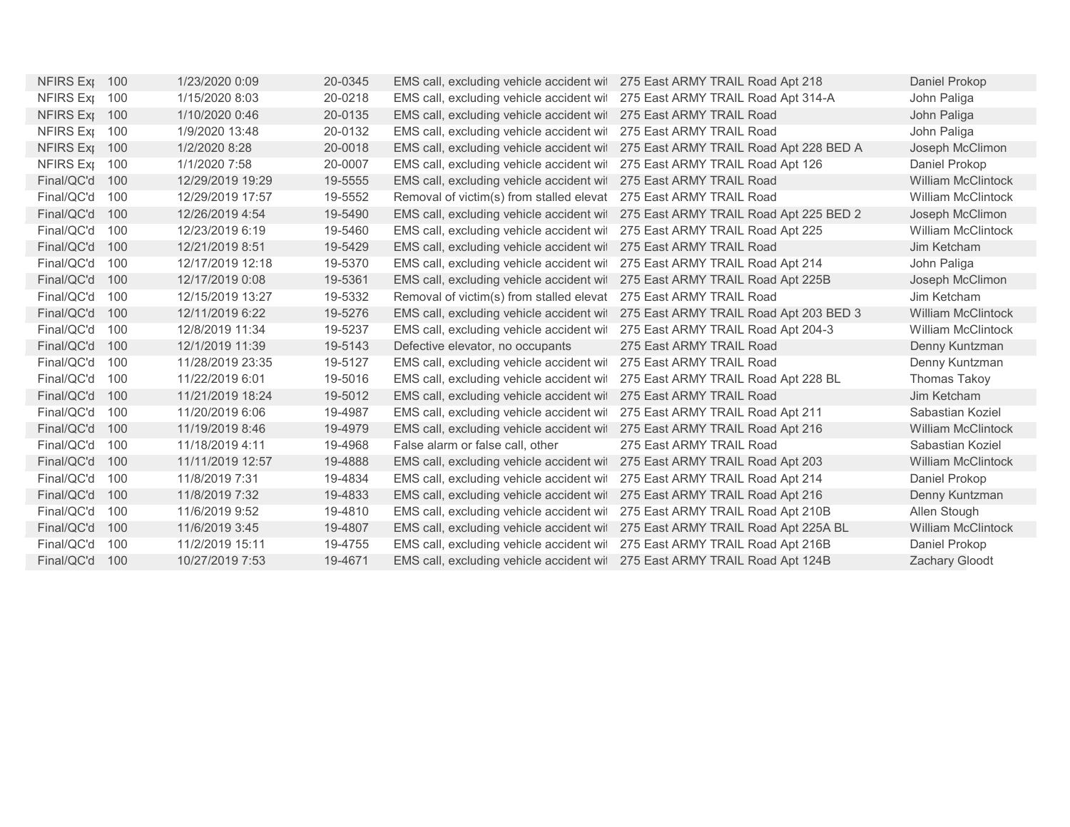| NFIRS Ext 100    |     | 1/23/2020 0:09   | 20-0345 | EMS call, excluding vehicle accident wil 275 East ARMY TRAIL Road Apt 218   |                                                                                 | Daniel Prokop             |
|------------------|-----|------------------|---------|-----------------------------------------------------------------------------|---------------------------------------------------------------------------------|---------------------------|
| NFIRS Ext 100    |     | 1/15/2020 8:03   | 20-0218 | EMS call, excluding vehicle accident wil 275 East ARMY TRAIL Road Apt 314-A |                                                                                 | John Paliga               |
| NFIRS Ext 100    |     | 1/10/2020 0:46   | 20-0135 | EMS call, excluding vehicle accident wil 275 East ARMY TRAIL Road           |                                                                                 | John Paliga               |
| NFIRS Exp        | 100 | 1/9/2020 13:48   | 20-0132 | EMS call, excluding vehicle accident wit                                    | 275 East ARMY TRAIL Road                                                        | John Paliga               |
| NFIRS Ext 100    |     | 1/2/2020 8:28    | 20-0018 |                                                                             | EMS call, excluding vehicle accident wil 275 East ARMY TRAIL Road Apt 228 BED A | Joseph McClimon           |
| <b>NFIRS Exp</b> | 100 | 1/1/2020 7:58    | 20-0007 | EMS call, excluding vehicle accident wil 275 East ARMY TRAIL Road Apt 126   |                                                                                 | Daniel Prokop             |
| Final/QC'd       | 100 | 12/29/2019 19:29 | 19-5555 | EMS call, excluding vehicle accident wil                                    | 275 East ARMY TRAIL Road                                                        | <b>William McClintock</b> |
| Final/QC'd       | 100 | 12/29/2019 17:57 | 19-5552 | Removal of victim(s) from stalled elevat                                    | 275 East ARMY TRAIL Road                                                        | <b>William McClintock</b> |
| Final/QC'd       | 100 | 12/26/2019 4:54  | 19-5490 |                                                                             | EMS call, excluding vehicle accident wil 275 East ARMY TRAIL Road Apt 225 BED 2 | Joseph McClimon           |
| Final/QC'd       | 100 | 12/23/2019 6:19  | 19-5460 | EMS call, excluding vehicle accident with                                   | 275 East ARMY TRAIL Road Apt 225                                                | <b>William McClintock</b> |
| Final/QC'd       | 100 | 12/21/2019 8:51  | 19-5429 | EMS call, excluding vehicle accident wil                                    | 275 East ARMY TRAIL Road                                                        | Jim Ketcham               |
| Final/QC'd       | 100 | 12/17/2019 12:18 | 19-5370 | EMS call, excluding vehicle accident wil                                    | 275 East ARMY TRAIL Road Apt 214                                                | John Paliga               |
| Final/QC'd       | 100 | 12/17/2019 0:08  | 19-5361 | EMS call, excluding vehicle accident wil                                    | 275 East ARMY TRAIL Road Apt 225B                                               | Joseph McClimon           |
| Final/QC'd       | 100 | 12/15/2019 13:27 | 19-5332 | Removal of victim(s) from stalled elevat                                    | 275 East ARMY TRAIL Road                                                        | Jim Ketcham               |
| Final/QC'd       | 100 | 12/11/2019 6:22  | 19-5276 | EMS call, excluding vehicle accident wil                                    | 275 East ARMY TRAIL Road Apt 203 BED 3                                          | <b>William McClintock</b> |
| Final/QC'd       | 100 | 12/8/2019 11:34  | 19-5237 | EMS call, excluding vehicle accident wil                                    | 275 East ARMY TRAIL Road Apt 204-3                                              | <b>William McClintock</b> |
| Final/QC'd       | 100 | 12/1/2019 11:39  | 19-5143 | Defective elevator, no occupants                                            | 275 East ARMY TRAIL Road                                                        | Denny Kuntzman            |
| Final/QC'd       | 100 | 11/28/2019 23:35 | 19-5127 | EMS call, excluding vehicle accident will                                   | 275 East ARMY TRAIL Road                                                        | Denny Kuntzman            |
| Final/QC'd       | 100 | 11/22/2019 6:01  | 19-5016 | EMS call, excluding vehicle accident wil                                    | 275 East ARMY TRAIL Road Apt 228 BL                                             | Thomas Takoy              |
| Final/QC'd       | 100 | 11/21/2019 18:24 | 19-5012 | EMS call, excluding vehicle accident wil                                    | 275 East ARMY TRAIL Road                                                        | Jim Ketcham               |
| Final/QC'd       | 100 | 11/20/2019 6:06  | 19-4987 | EMS call, excluding vehicle accident wit                                    | 275 East ARMY TRAIL Road Apt 211                                                | Sabastian Koziel          |
| Final/QC'd       | 100 | 11/19/2019 8:46  | 19-4979 | EMS call, excluding vehicle accident wil 275 East ARMY TRAIL Road Apt 216   |                                                                                 | <b>William McClintock</b> |
| Final/QC'd       | 100 | 11/18/2019 4:11  | 19-4968 | False alarm or false call, other                                            | 275 East ARMY TRAIL Road                                                        | Sabastian Koziel          |
| Final/QC'd       | 100 | 11/11/2019 12:57 | 19-4888 | EMS call, excluding vehicle accident wil                                    | 275 East ARMY TRAIL Road Apt 203                                                | <b>William McClintock</b> |
| Final/QC'd       | 100 | 11/8/2019 7:31   | 19-4834 | EMS call, excluding vehicle accident wil                                    | 275 East ARMY TRAIL Road Apt 214                                                | Daniel Prokop             |
| Final/QC'd       | 100 | 11/8/2019 7:32   | 19-4833 | EMS call, excluding vehicle accident wil                                    | 275 East ARMY TRAIL Road Apt 216                                                | Denny Kuntzman            |
| Final/QC'd       | 100 | 11/6/2019 9:52   | 19-4810 | EMS call, excluding vehicle accident wil                                    | 275 East ARMY TRAIL Road Apt 210B                                               | Allen Stough              |
| Final/QC'd       | 100 | 11/6/2019 3:45   | 19-4807 |                                                                             | EMS call, excluding vehicle accident wil 275 East ARMY TRAIL Road Apt 225A BL   | <b>William McClintock</b> |
| Final/QC'd       | 100 | 11/2/2019 15:11  | 19-4755 | EMS call, excluding vehicle accident wil 275 East ARMY TRAIL Road Apt 216B  |                                                                                 | Daniel Prokop             |
| Final/QC'd       | 100 | 10/27/2019 7:53  | 19-4671 | EMS call, excluding vehicle accident wil 275 East ARMY TRAIL Road Apt 124B  |                                                                                 | Zachary Gloodt            |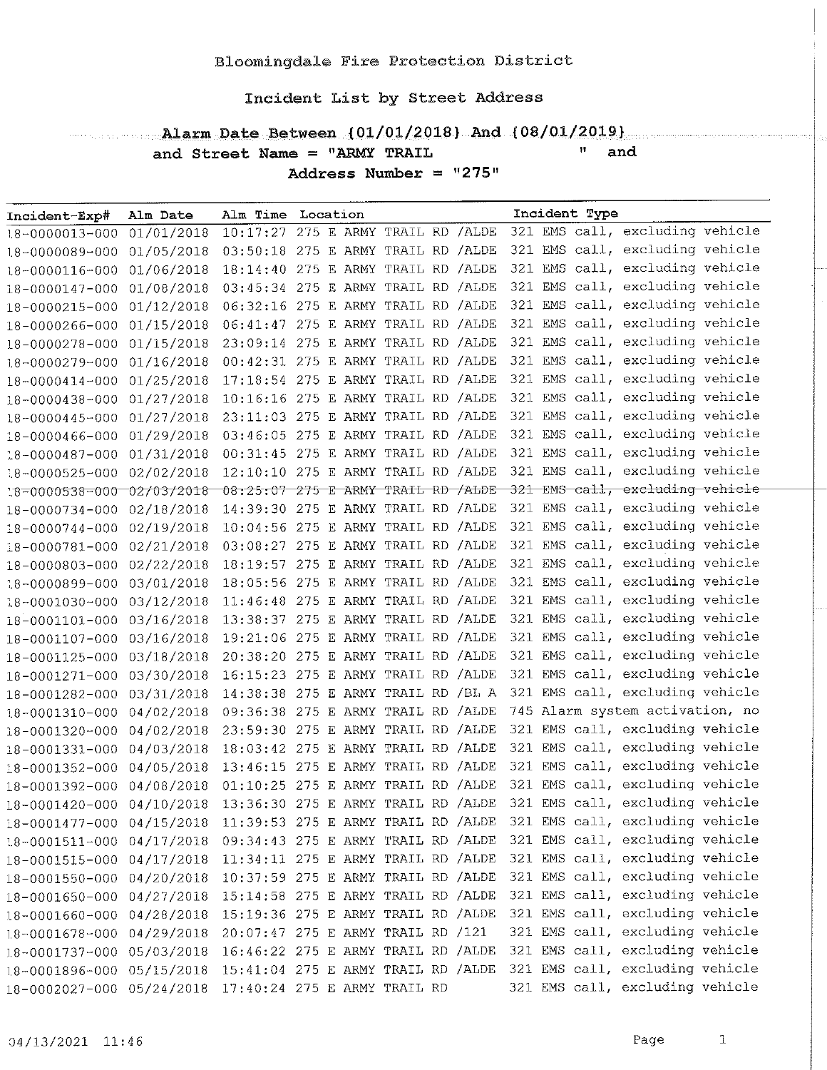# Alarm Date Between (01/01/2018) And (08/01/2019)

 $"$  and

and Street Name = "ARMY TRAIL Address Number =  $"275"$ 

| Incident-Exp#             | Alm Date   | Alm Time Location                       |  |  |     | Incident Type |                                 |  |
|---------------------------|------------|-----------------------------------------|--|--|-----|---------------|---------------------------------|--|
| 18-0000013-000            | 01/01/2018 | 10:17:27 275 E ARMY TRAIL RD / ALDE     |  |  |     |               | 321 EMS call, excluding vehicle |  |
| 18-0000089-000 01/05/2018 |            | 03:50:18 275 E ARMY TRAIL RD /ALDE      |  |  |     |               | 321 EMS call, excluding vehicle |  |
| 18-0000116-000            | 01/06/2018 | 18:14:40 275 E ARMY TRAIL RD / ALDE     |  |  |     |               | 321 EMS call, excluding vehicle |  |
| 18-0000147-000            | 01/08/2018 | 03:45:34 275 E ARMY TRAIL RD /ALDE      |  |  |     |               | 321 EMS call, excluding vehicle |  |
| 18-0000215-000            | 01/12/2018 | 06:32:16 275 E ARMY TRAIL RD /ALDE      |  |  |     |               | 321 EMS call, excluding vehicle |  |
| 18-0000266-000 01/15/2018 |            | 06:41:47 275 E ARMY TRAIL RD / ALDE     |  |  |     |               | 321 EMS call, excluding vehicle |  |
| 18-0000278-000            | 01/15/2018 | 23:09:14 275 E ARMY TRAIL RD / ALDE     |  |  |     |               | 321 EMS call, excluding vehicle |  |
| 18-0000279-000            | 01/16/2018 | 00:42:31 275 E ARMY TRAIL RD /ALDE      |  |  |     |               | 321 EMS call, excluding vehicle |  |
| 18-0000414-000 01/25/2018 |            | 17:18:54 275 E ARMY TRAIL RD / ALDE     |  |  | 321 |               | EMS call, excluding vehicle     |  |
| 18-0000438-000            | 01/27/2018 | 10:16:16 275 E ARMY TRAIL RD / ALDE     |  |  |     |               | 321 EMS call, excluding vehicle |  |
| 18-0000445-000            | 01/27/2018 | 23:11:03 275 E ARMY TRAIL RD / ALDE     |  |  |     |               | 321 EMS call, excluding vehicle |  |
| 18-0000466-000            | 01/29/2018 | 03:46:05 275 E ARMY TRAIL RD /ALDE      |  |  |     |               | 321 EMS call, excluding vehicle |  |
| 18-0000487-000 01/31/2018 |            | 00:31:45 275 E ARMY TRAIL RD /ALDE      |  |  |     |               | 321 EMS call, excluding vehicle |  |
| 18-0000525-000 02/02/2018 |            | 12:10:10 275 E ARMY TRAIL RD / ALDE     |  |  |     |               | 321 EMS call, excluding vehicle |  |
| 18-0000538-000 02/03/2018 |            | $08:25:07$ 275 E ARMY TRAIL RD $/$ ALDE |  |  |     |               | 321 EMS call, excluding vehicle |  |
| 18-0000734-000 02/18/2018 |            | 14:39:30 275 E ARMY TRAIL RD / ALDE     |  |  |     |               | 321 EMS call, excluding vehicle |  |
| $18 - 0000744 - 000$      | 02/19/2018 | 10:04:56 275 E ARMY TRAIL RD / ALDE     |  |  | 321 |               | EMS call, excluding vehicle     |  |
| 18-0000781-000            | 02/21/2018 | 03:08:27 275 E ARMY TRAIL RD /ALDE      |  |  | 321 |               | EMS call, excluding vehicle     |  |
| 18-0000803-000            | 02/22/2018 | 18:19:57 275 E ARMY TRAIL RD /ALDE      |  |  |     |               | 321 EMS call, excluding vehicle |  |
| 18-0000899-000 03/01/2018 |            | 18:05:56 275 E ARMY TRAIL RD / ALDE     |  |  | 321 |               | EMS call, excluding vehicle     |  |
| 18-0001030-000 03/12/2018 |            | $11:46:48$ 275 E ARMY TRAIL RD /ALDE    |  |  |     |               | 321 EMS call, excluding vehicle |  |
| 18-0001101-000            | 03/16/2018 | 13:38:37 275 E ARMY TRAIL RD /ALDE      |  |  |     |               | 321 EMS call, excluding vehicle |  |
| 18-0001107-000            | 03/16/2018 | 19:21:06 275 E ARMY TRAIL RD / ALDE     |  |  |     |               | 321 EMS call, excluding vehicle |  |
| 18-0001125-000            | 03/18/2018 | 20:38:20 275 E ARMY TRAIL RD / ALDE     |  |  |     |               | 321 EMS call, excluding vehicle |  |
| 18-0001271-000            | 03/30/2018 | 16:15:23 275 E ARMY TRAIL RD /ALDE      |  |  |     |               | 321 EMS call, excluding vehicle |  |
| 18-0001282-000            | 03/31/2018 | 14:38:38 275 E ARMY TRAIL RD /BL A      |  |  |     |               | 321 EMS call, excluding vehicle |  |
| 18-0001310-000            | 04/02/2018 | 09:36:38 275 E ARMY TRAIL RD /ALDE      |  |  |     |               | 745 Alarm system activation, no |  |
| 18-0001320-000            | 04/02/2018 | 23:59:30 275 E ARMY TRAIL RD / ALDE     |  |  |     |               | 321 EMS call, excluding vehicle |  |
| 18-0001331-000            | 04/03/2018 | 18:03:42 275 E ARMY TRAIL RD /ALDE      |  |  |     |               | 321 EMS call, excluding vehicle |  |
| 18-0001352-000            | 04/05/2018 | 13:46:15 275 E ARMY TRAIL RD / ALDE     |  |  |     |               | 321 EMS call, excluding vehicle |  |
| 18-0001392-000            | 04/08/2018 | $01:10:25$ 275 E ARMY TRAIL RD /ALDE    |  |  | 321 |               | EMS call, excluding vehicle     |  |
| 18-0001420-000            | 04/10/2018 | 13:36:30 275 E ARMY TRAIL RD /ALDE      |  |  |     |               | 321 EMS call, excluding vehicle |  |
| 18-0001477-000            | 04/15/2018 | 11:39:53 275 E ARMY TRAIL RD /ALDE      |  |  |     |               | 321 EMS call, excluding vehicle |  |
| $18 - 0001511 - 000$      | 04/17/2018 | 09:34:43 275 E ARMY TRAIL RD / ALDE     |  |  |     |               | 321 EMS call, excluding vehicle |  |
| 18-0001515-000            | 04/17/2018 | 11:34:11 275 E ARMY TRAIL RD /ALDE      |  |  |     |               | 321 EMS call, excluding vehicle |  |
| 18-0001550-000            | 04/20/2018 | 10:37:59 275 E ARMY TRAIL RD /ALDE      |  |  |     |               | 321 EMS call, excluding vehicle |  |
| 18-0001650-000            | 04/27/2018 | 15:14:58 275 E ARMY TRAIL RD /ALDE      |  |  |     |               | 321 EMS call, excluding vehicle |  |
| 18-0001660-000            | 04/28/2018 | 15:19:36 275 E ARMY TRAIL RD /ALDE      |  |  |     |               | 321 EMS call, excluding vehicle |  |
| 18-0001678-000            | 04/29/2018 | 20:07:47 275 E ARMY TRAIL RD /121       |  |  |     |               | 321 EMS call, excluding vehicle |  |
| $18 - 0001737 - 000$      | 05/03/2018 | 16:46:22 275 E ARMY TRAIL RD / ALDE     |  |  |     |               | 321 EMS call, excluding vehicle |  |
| 18-0001896-000            | 05/15/2018 | 15:41:04 275 E ARMY TRAIL RD / ALDE     |  |  |     |               | 321 EMS call, excluding vehicle |  |
| 18-0002027-000 05/24/2018 |            | 17:40:24 275 E ARMY TRAIL RD            |  |  |     |               | 321 EMS call, excluding vehicle |  |

 $\,$   $\,$   $\,$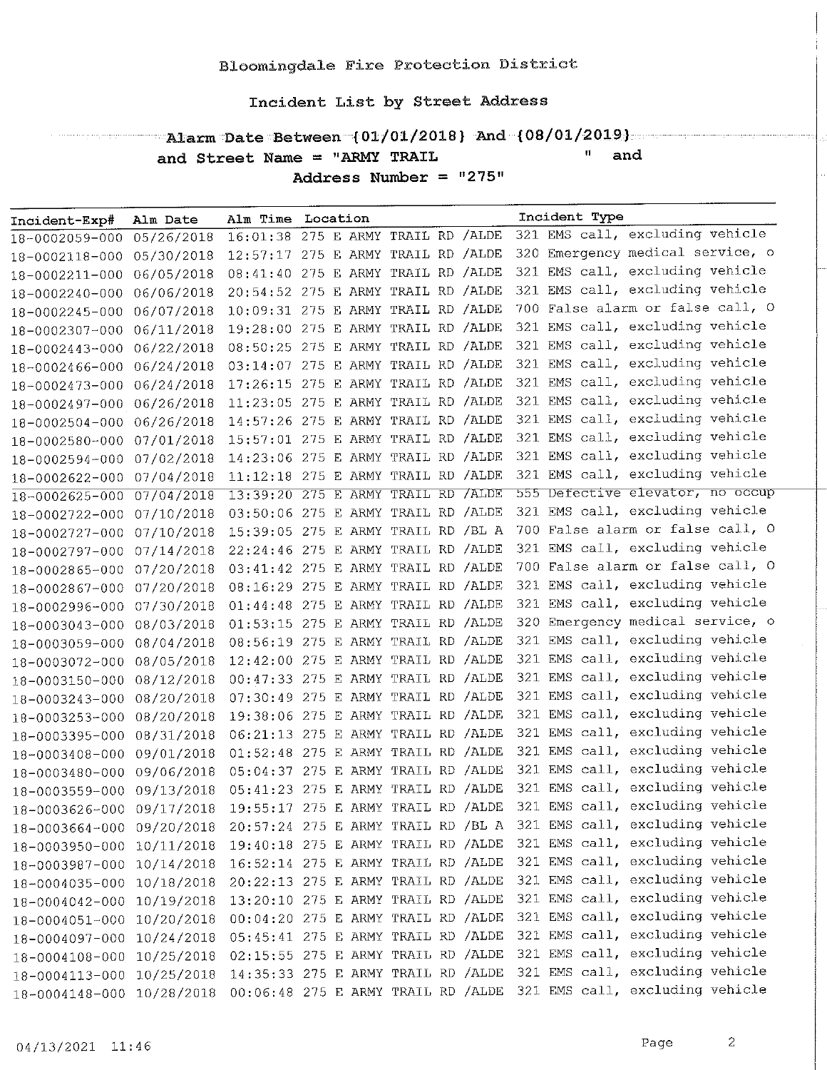### $\blacksquare$  Alarm Date Between  $\{01/01/2018\}$  And  $\{08/01/2019\}$ and Street Name = "ARMY TRAIL  $^{\prime\prime}$  and

Address Number =  $"275"$ 

| Incident-Exp#             | Alm Date   | Alm Time Location                   |  |  | Incident Type                    |
|---------------------------|------------|-------------------------------------|--|--|----------------------------------|
| 18-0002059-000            | 05/26/2018 | 16:01:38 275 E ARMY TRAIL RD /ALDE  |  |  | 321 EMS call, excluding vehicle  |
| 18-0002118-000            | 05/30/2018 | 12:57:17 275 E ARMY TRAIL RD /ALDE  |  |  | 320 Emergency medical service, o |
| 18-0002211-000            | 06/05/2018 | 08:41:40 275 E ARMY TRAIL RD /ALDE  |  |  | 321 EMS call, excluding vehicle  |
| 18-0002240-000            | 06/06/2018 | 20:54:52 275 E ARMY TRAIL RD /ALDE  |  |  | 321 EMS call, excluding vehicle  |
| 18-0002245-000            | 06/07/2018 | 10:09:31 275 E ARMY TRAIL RD /ALDE  |  |  | 700 False alarm or false call, O |
| 18-0002307-000            | 06/11/2018 | 19:28:00 275 E ARMY TRAIL RD /ALDE  |  |  | 321 EMS call, excluding vehicle  |
| 18-0002443-000            | 06/22/2018 | 08:50:25 275 E ARMY TRAIL RD /ALDE  |  |  | 321 EMS call, excluding vehicle  |
| 18-0002466-000            | 06/24/2018 | 03:14:07 275 E ARMY TRAIL RD /ALDE  |  |  | 321 EMS call, excluding vehicle  |
| 18-0002473-000            | 06/24/2018 | 17:26:15 275 E ARMY TRAIL RD / ALDE |  |  | 321 EMS call, excluding vehicle  |
| 18-0002497-000 06/26/2018 |            | 11:23:05 275 E ARMY TRAIL RD /ALDE  |  |  | 321 EMS call, excluding vehicle  |
| 18-0002504-000            | 06/26/2018 | 14:57:26 275 E ARMY TRAIL RD /ALDE  |  |  | 321 EMS call, excluding vehicle  |
| 18-0002580-000            | 07/01/2018 | 15:57:01 275 E ARMY TRAIL RD /ALDE  |  |  | 321 EMS call, excluding vehicle  |
| 18-0002594-000 07/02/2018 |            | 14:23:06 275 E ARMY TRAIL RD /ALDE  |  |  | 321 EMS call, excluding vehicle  |
| 18-0002622-000 07/04/2018 |            | 11:12:18 275 E ARMY TRAIL RD / ALDE |  |  | 321 EMS call, excluding vehicle  |
| $18 - 0002625 - 000$      | 07/04/2018 | 13:39:20 275 E ARMY TRAIL RD / ALDE |  |  | 555 Defective elevator, no occup |
| 18-0002722-000            | 07/10/2018 | 03:50:06 275 E ARMY TRAIL RD /ALDE  |  |  | 321 EMS call, excluding vehicle  |
| 18-0002727-000 07/10/2018 |            | 15:39:05 275 E ARMY TRAIL RD /BL A  |  |  | 700 False alarm or false call, O |
| 18-0002797-000            | 07/14/2018 | 22:24:46 275 E ARMY TRAIL RD /ALDE  |  |  | 321 EMS call, excluding vehicle  |
| 18-0002865-000            | 07/20/2018 | 03:41:42 275 E ARMY TRAIL RD /ALDE  |  |  | 700 False alarm or false call, O |
| 18-0002867-000            | 07/20/2018 | 08:16:29 275 E ARMY TRAIL RD / ALDE |  |  | 321 EMS call, excluding vehicle  |
| 18-0002996-000 07/30/2018 |            | 01:44:48 275 E ARMY TRAIL RD /ALDE  |  |  | 321 EMS call, excluding vehicle  |
| 18-0003043-000 08/03/2018 |            | 01:53:15 275 E ARMY TRAIL RD /ALDE  |  |  | 320 Emergency medical service, o |
| 18-0003059-000            | 08/04/2018 | 08:56:19 275 E ARMY TRAIL RD /ALDE  |  |  | 321 EMS call, excluding vehicle  |
| 18-0003072-000 08/05/2018 |            | 12:42:00 275 E ARMY TRAIL RD /ALDE  |  |  | 321 EMS call, excluding vehicle  |
| 18-0003150-000            | 08/12/2018 | 00:47:33 275 E ARMY TRAIL RD / ALDE |  |  | 321 EMS call, excluding vehicle  |
| 18-0003243-000            | 08/20/2018 | 07:30:49 275 E ARMY TRAIL RD /ALDE  |  |  | 321 EMS call, excluding vehicle  |
| 18-0003253-000 08/20/2018 |            | 19:38:06 275 E ARMY TRAIL RD /ALDE  |  |  | 321 EMS call, excluding vehicle  |
| 18-0003395-000 08/31/2018 |            | 06:21:13 275 E ARMY TRAIL RD /ALDE  |  |  | 321 EMS call, excluding vehicle  |
| 18-0003408-000 09/01/2018 |            | 01:52:48 275 E ARMY TRAIL RD /ALDE  |  |  | 321 EMS call, excluding vehicle  |
| 18-0003480-000 09/06/2018 |            | 05:04:37 275 E ARMY TRAIL RD /ALDE  |  |  | 321 EMS call, excluding vehicle  |
| 18-0003559-000 09/13/2018 |            | 05:41:23 275 E ARMY TRAIL RD /ALDE  |  |  | 321 EMS call, excluding vehicle  |
| 18-0003626-000 09/17/2018 |            | 19:55:17 275 E ARMY TRAIL RD /ALDE  |  |  | 321 EMS call, excluding vehicle  |
| 18-0003664-000 09/20/2018 |            | 20:57:24 275 E ARMY TRAIL RD /BL A  |  |  | 321 EMS call, excluding vehicle  |
| 18-0003950-000            | 10/11/2018 | 19:40:18 275 E ARMY TRAIL RD /ALDE  |  |  | 321 EMS call, excluding vehicle  |
| 18-0003987-000 10/14/2018 |            | 16:52:14 275 E ARMY TRAIL RD /ALDE  |  |  | 321 EMS call, excluding vehicle  |
| 18-0004035-000 10/18/2018 |            | 20:22:13 275 E ARMY TRAIL RD /ALDE  |  |  | 321 EMS call, excluding vehicle  |
| 18-0004042-000 10/19/2018 |            | 13:20:10 275 E ARMY TRAIL RD /ALDE  |  |  | 321 EMS call, excluding vehicle  |
| 18-0004051-000            | 10/20/2018 | 00:04:20 275 E ARMY TRAIL RD /ALDE  |  |  | 321 EMS call, excluding vehicle  |
| 18-0004097-000 10/24/2018 |            | 05:45:41 275 E ARMY TRAIL RD /ALDE  |  |  | 321 EMS call, excluding vehicle  |
| 18-0004108-000            | 10/25/2018 | 02:15:55 275 E ARMY TRAIL RD /ALDE  |  |  | 321 EMS call, excluding vehicle  |
| 18-0004113-000 10/25/2018 |            | 14:35:33 275 E ARMY TRAIL RD /ALDE  |  |  | 321 EMS call, excluding vehicle  |
| 18-0004148-000 10/28/2018 |            | 00:06:48 275 E ARMY TRAIL RD /ALDE  |  |  | 321 EMS call, excluding vehicle  |

 $\sim$  2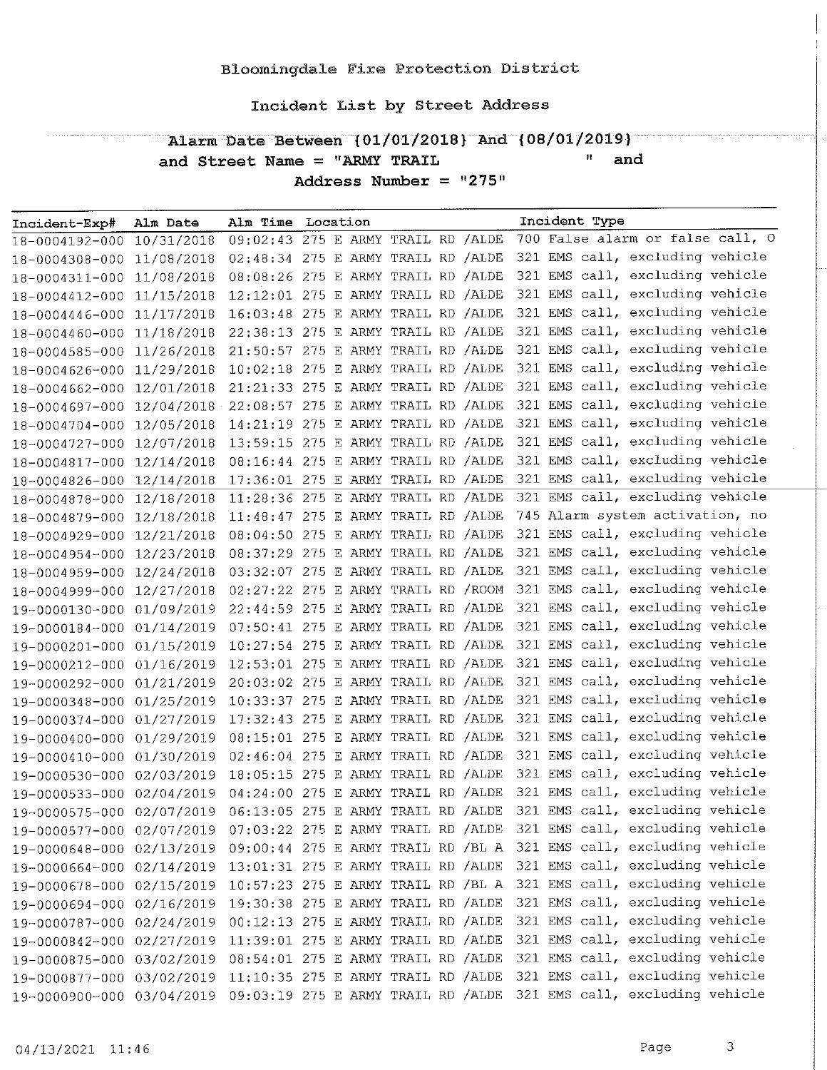Alarm Date Between (01/01/2018) And (08/01/2019) and Street Name = "ARMY TRAIL  $\mathbf{H}^{\pm}$ and Address Number =  $"275"$ 

| Incident-Exp#             | Alm Date                                      | Alm Time Location                    |  |  |  |     | Incident Type |                                  |  |
|---------------------------|-----------------------------------------------|--------------------------------------|--|--|--|-----|---------------|----------------------------------|--|
| 18-0004192-000            | 10/31/2018                                    | 09:02:43 275 E ARMY TRAIL RD /ALDE   |  |  |  |     |               | 700 False alarm or false call, O |  |
| 18-0004308-000            | 11/08/2018                                    | 02:48:34 275 E ARMY TRAIL RD /ALDE   |  |  |  |     |               | 321 EMS call, excluding vehicle  |  |
| 18-0004311-000            | 11/08/2018                                    | 08:08:26 275 E ARMY TRAIL RD /ALDE   |  |  |  |     |               | 321 EMS call, excluding vehicle  |  |
| 18-0004412-000            | 11/15/2018                                    | 12:12:01 275 E ARMY TRAIL RD /ALDE   |  |  |  |     |               | 321 EMS call, excluding vehicle  |  |
| 18-0004446-000            | 11/17/2018                                    | 16:03:48 275 E ARMY TRAIL RD / ALDE  |  |  |  |     |               | 321 EMS call, excluding vehicle  |  |
| 18-0004460-000            | 11/18/2018                                    | 22:38:13 275 E ARMY TRAIL RD /ALDE   |  |  |  |     |               | 321 EMS call, excluding vehicle  |  |
| 18-0004585-000            | 11/26/2018                                    | 21:50:57 275 E ARMY TRAIL RD /ALDE   |  |  |  |     |               | 321 EMS call, excluding vehicle  |  |
| 18-0004626-000            | 11/29/2018                                    | 10:02:18 275 E ARMY TRAIL RD /ALDE   |  |  |  |     |               | 321 EMS call, excluding vehicle  |  |
| 18-0004662-000            | 12/01/2018                                    | 21:21:33 275 E ARMY TRAIL RD /ALDE   |  |  |  |     |               | 321 EMS call, excluding vehicle  |  |
| 18-0004697-000            | 12/04/2018 22:08:57 275 E ARMY TRAIL RD /ALDE |                                      |  |  |  |     |               | 321 EMS call, excluding vehicle  |  |
| 18-0004704-000            | 12/05/2018                                    | 14:21:19 275 E ARMY TRAIL RD /ALDE   |  |  |  |     |               | 321 EMS call, excluding vehicle  |  |
| 18-0004727-000            | 12/07/2018                                    | 13:59:15 275 E ARMY TRAIL RD /ALDE   |  |  |  |     |               | 321 EMS call, excluding vehicle  |  |
| 18-0004817-000            | 12/14/2018                                    | 08:16:44 275 E ARMY TRAIL RD /ALDE   |  |  |  |     |               | 321 EMS call, excluding vehicle  |  |
| 18-0004826-000            | 12/14/2018                                    | 17:36:01 275 E ARMY TRAIL RD /ALDE   |  |  |  |     |               | 321 EMS call, excluding vehicle  |  |
| 18-0004878-000            | 12/18/2018                                    | 11:28:36 275 E ARMY TRAIL RD /ALDE   |  |  |  |     |               | 321 EMS call, excluding vehicle  |  |
| 18-0004879-000            | 12/18/2018                                    | $11:48:47$ 275 E ARMY TRAIL RD /ALDE |  |  |  |     |               | 745 Alarm system activation, no  |  |
| 18-0004929-000            | 12/21/2018                                    | 08:04:50 275 E ARMY TRAIL RD /ALDE   |  |  |  |     |               | 321 EMS call, excluding vehicle  |  |
| 18-0004954-000            | 12/23/2018                                    | 08:37:29 275 E ARMY TRAIL RD /ALDE   |  |  |  |     |               | 321 EMS call, excluding vehicle  |  |
| 18-0004959-000 12/24/2018 |                                               | 03:32:07 275 E ARMY TRAIL RD /ALDE   |  |  |  |     |               | 321 EMS call, excluding vehicle  |  |
| 18-0004999-000            | 12/27/2018                                    | 02:27:22 275 E ARMY TRAIL RD / ROOM  |  |  |  |     |               | 321 EMS call, excluding vehicle  |  |
| 19-0000130-000            | 01/09/2019                                    | 22:44:59 275 E ARMY TRAIL RD /ALDE   |  |  |  |     |               | 321 EMS call, excluding vehicle  |  |
| 19-0000184-000 01/14/2019 |                                               | 07:50:41 275 E ARMY TRAIL RD /ALDE   |  |  |  | 321 |               | EMS call, excluding vehicle      |  |
| 19-0000201-000            | 01/15/2019                                    | $10:27:54$ 275 E ARMY TRAIL RD /ALDE |  |  |  |     |               | 321 EMS call, excluding vehicle  |  |
| 19-0000212-000            | 01/16/2019                                    | 12:53:01 275 E ARMY TRAIL RD / ALDE  |  |  |  |     |               | 321 EMS call, excluding vehicle  |  |
| 19-0000292-000            | 01/21/2019                                    | 20:03:02 275 E ARMY TRAIL RD /ALDE   |  |  |  |     |               | 321 EMS call, excluding vehicle  |  |
| 19-0000348-000            | 01/25/2019                                    | 10:33:37 275 E ARMY TRAIL RD /ALDE   |  |  |  |     |               | 321 EMS call, excluding vehicle  |  |
| 19-0000374-000            | 01/27/2019                                    | 17:32:43 275 E ARMY TRAIL RD /ALDE   |  |  |  |     |               | 321 EMS call, excluding vehicle  |  |
| 19-0000400-000            | 01/29/2019                                    | $08:15:01$ 275 E ARMY TRAIL RD /ALDE |  |  |  |     |               | 321 EMS call, excluding vehicle  |  |
| 19-0000410-000            | 01/30/2019                                    | 02:46:04 275 E ARMY TRAIL RD /ALDE   |  |  |  |     |               | 321 EMS call, excluding vehicle  |  |
| 19-0000530-000 02/03/2019 |                                               | 18:05:15 275 E ARMY TRAIL RD /ALDE   |  |  |  |     |               | 321 EMS call, excluding vehicle  |  |
| 19-0000533-000            | 02/04/2019                                    | 04:24:00 275 E ARMY TRAIL RD /ALDE   |  |  |  |     |               | 321 EMS call, excluding vehicle  |  |
| 19-0000575-000 02/07/2019 |                                               | 06:13:05 275 E ARMY TRAIL RD /ALDE   |  |  |  |     |               | 321 EMS call, excluding vehicle  |  |
| 19-0000577-000 02/07/2019 |                                               | 07:03:22 275 E ARMY TRAIL RD /ALDE   |  |  |  |     |               | 321 EMS call, excluding vehicle  |  |
| 19-0000648-000            | 02/13/2019                                    | 09:00:44 275 E ARMY TRAIL RD /BL A   |  |  |  |     |               | 321 EMS call, excluding vehicle  |  |
| 19-0000664-000            | 02/14/2019                                    | 13:01:31 275 E ARMY TRAIL RD / ALDE  |  |  |  |     |               | 321 EMS call, excluding vehicle  |  |
| 19-0000678-000            | 02/15/2019                                    | 10:57:23 275 E ARMY TRAIL RD /BL A   |  |  |  |     |               | 321 EMS call, excluding vehicle  |  |
| 19-0000694-000            | 02/16/2019                                    | 19:30:38 275 E ARMY TRAIL RD / ALDE  |  |  |  |     |               | 321 EMS call, excluding vehicle  |  |
| 19-0000787-000            | 02/24/2019                                    | $00:12:13$ 275 E ARMY TRAIL RD /ALDE |  |  |  |     |               | 321 EMS call, excluding vehicle  |  |
| 19-0000842-000            | 02/27/2019                                    | 11:39:01 275 E ARMY TRAIL RD /ALDE   |  |  |  |     |               | 321 EMS call, excluding vehicle  |  |
| 19-0000875-000            | 03/02/2019                                    | 08:54:01 275 E ARMY TRAIL RD /ALDE   |  |  |  |     |               | 321 EMS call, excluding vehicle  |  |
| 19-0000877-000            | 03/02/2019                                    | 11:10:35 275 E ARMY TRAIL RD /ALDE   |  |  |  |     |               | 321 EMS call, excluding vehicle  |  |
| 19-0000900-000 03/04/2019 |                                               | 09:03:19 275 E ARMY TRAIL RD /ALDE   |  |  |  |     |               | 321 EMS call, excluding vehicle  |  |

 $\overline{3}$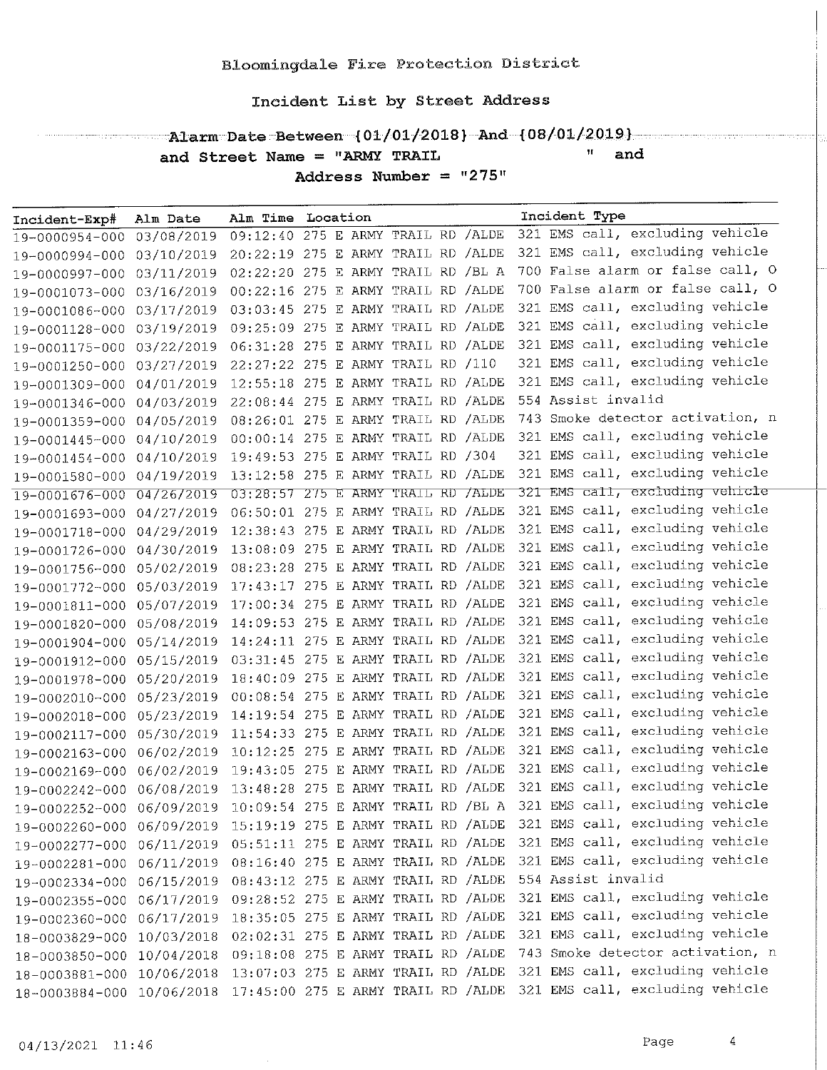#### " and and Street Name = "ARMY TRAIL

Address Number =  $"275"$ 

| Incident-Exp#             | Alm Date   | Alm Time Location                    |  |  |  |     | Incident Type                    |
|---------------------------|------------|--------------------------------------|--|--|--|-----|----------------------------------|
| 19-0000954-000            | 03/08/2019 | 09:12:40 275 E ARMY TRAIL RD /ALDE   |  |  |  |     | 321 EMS call, excluding vehicle  |
| 19-0000994-000            | 03/10/2019 | 20:22:19 275 E ARMY TRAIL RD /ALDE   |  |  |  |     | 321 EMS call, excluding vehicle  |
| 19-0000997-000            | 03/11/2019 | 02:22:20 275 E ARMY TRAIL RD /BL A   |  |  |  |     | 700 False alarm or false call, O |
| 19-0001073-000            | 03/16/2019 | 00:22:16 275 E ARMY TRAIL RD /ALDE   |  |  |  |     | 700 False alarm or false call, O |
| 19-0001086-000            | 03/17/2019 | 03:03:45 275 E ARMY TRAIL RD /ALDE   |  |  |  |     | 321 EMS call, excluding vehicle  |
| 19-0001128-000            | 03/19/2019 | 09:25:09 275 E ARMY TRAIL RD /ALDE   |  |  |  |     | 321 EMS call, excluding vehicle  |
| 19-0001175-000 03/22/2019 |            | 06:31:28 275 E ARMY TRAIL RD /ALDE   |  |  |  | 321 | EMS call, excluding vehicle      |
| 19-0001250-000 03/27/2019 |            | 22:27:22 275 E ARMY TRAIL RD /110    |  |  |  |     | 321 EMS call, excluding vehicle  |
| 19-0001309-000            | 04/01/2019 | 12:55:18 275 E ARMY TRAIL RD /ALDE   |  |  |  |     | 321 EMS call, excluding vehicle  |
| 19-0001346-000            | 04/03/2019 | 22:08:44 275 E ARMY TRAIL RD /ALDE   |  |  |  |     | 554 Assist invalid               |
| 19-0001359-000            | 04/05/2019 | 08:26:01 275 E ARMY TRAIL RD /ALDE   |  |  |  |     | 743 Smoke detector activation, n |
| 19-0001445-000            | 04/10/2019 | 00:00:14 275 E ARMY TRAIL RD /ALDE   |  |  |  |     | 321 EMS call, excluding vehicle  |
| 19-0001454-000            | 04/10/2019 | 19:49:53 275 E ARMY TRAIL RD /304    |  |  |  |     | 321 EMS call, excluding vehicle  |
| 19-0001580-000 04/19/2019 |            | $13:12:58$ 275 E ARMY TRAIL RD /ALDE |  |  |  |     | 321 EMS call, excluding vehicle  |
| 19-0001676-000            | 04/26/2019 | 03:28:57 275 E ARMY TRAIL RD /ALDE   |  |  |  |     | 321 EMS call, excluding vehicle  |
| 19-0001693-000            | 04/27/2019 | 06:50:01 275 E ARMY TRAIL RD / ALDE  |  |  |  |     | 321 EMS call, excluding vehicle  |
| 19-0001718-000            | 04/29/2019 | 12:38:43 275 E ARMY TRAIL RD /ALDE   |  |  |  |     | 321 EMS call, excluding vehicle  |
| 19-0001726-000            | 04/30/2019 | 13:08:09 275 E ARMY TRAIL RD /ALDE   |  |  |  |     | 321 EMS call, excluding vehicle  |
| 19-0001756-000            | 05/02/2019 | 08:23:28 275 E ARMY TRAIL RD / ALDE  |  |  |  |     | 321 EMS call, excluding vehicle  |
| 19-0001772-000            | 05/03/2019 | 17:43:17 275 E ARMY TRAIL RD / ALDE  |  |  |  |     | 321 EMS call, excluding vehicle  |
| 19-0001811-000 05/07/2019 |            | 17:00:34 275 E ARMY TRAIL RD /ALDE   |  |  |  | 321 | EMS call, excluding vehicle      |
| 19-0001820-000 05/08/2019 |            | 14:09:53 275 E ARMY TRAIL RD /ALDE   |  |  |  | 321 | EMS call, excluding vehicle      |
| 19-0001904-000 05/14/2019 |            | 14:24:11 275 E ARMY TRAIL RD /ALDE   |  |  |  |     | 321 EMS call, excluding vehicle  |
| 19-0001912-000 05/15/2019 |            | 03:31:45 275 E ARMY TRAIL RD /ALDE   |  |  |  |     | 321 EMS call, excluding vehicle  |
| 19-0001978-000 05/20/2019 |            | 18:40:09 275 E ARMY TRAIL RD /ALDE   |  |  |  |     | 321 EMS call, excluding vehicle  |
| 19-0002010-000            | 05/23/2019 | 00:08:54 275 E ARMY TRAIL RD /ALDE   |  |  |  |     | 321 EMS call, excluding vehicle  |
| 19-0002018-000            | 05/23/2019 | 14:19:54 275 E ARMY TRAIL RD / ALDE  |  |  |  | 321 | EMS call, excluding vehicle      |
| 19-0002117-000            | 05/30/2019 | 11:54:33 275 E ARMY TRAIL RD /ALDE   |  |  |  |     | 321 EMS call, excluding vehicle  |
| 19-0002163-000 06/02/2019 |            | 10:12:25 275 E ARMY TRAIL RD /ALDE   |  |  |  | 321 | EMS call, excluding vehicle      |
| 19-0002169-000 06/02/2019 |            | 19:43:05 275 E ARMY TRAIL RD / ALDE  |  |  |  |     | 321 EMS call, excluding vehicle  |
| 19-0002242-000            | 06/08/2019 | 13:48:28 275 E ARMY TRAIL RD / ALDE  |  |  |  |     | 321 EMS call, excluding vehicle  |
| 19-0002252-000 06/09/2019 |            | 10:09:54 275 E ARMY TRAIL RD /BL A   |  |  |  |     | 321 EMS call, excluding vehicle  |
| 19-0002260-000 06/09/2019 |            | 15:19:19 275 E ARMY TRAIL RD / ALDE  |  |  |  |     | 321 EMS call, excluding vehicle  |
| 19-0002277-000            | 06/11/2019 | 05:51:11 275 E ARMY TRAIL RD /ALDE   |  |  |  |     | 321 EMS call, excluding vehicle  |
| 19-0002281-000            | 06/11/2019 | 08:16:40 275 E ARMY TRAIL RD /ALDE   |  |  |  |     | 321 EMS call, excluding vehicle  |
| 19-0002334-000            | 06/15/2019 | 08:43:12 275 E ARMY TRAIL RD / ALDE  |  |  |  |     | 554 Assist invalid               |
| 19-0002355-000            | 06/17/2019 | 09:28:52 275 E ARMY TRAIL RD /ALDE   |  |  |  |     | 321 EMS call, excluding vehicle  |
| 19-0002360-000            | 06/17/2019 | 18:35:05 275 E ARMY TRAIL RD /ALDE   |  |  |  |     | 321 EMS call, excluding vehicle  |
| 18-0003829-000            | 10/03/2018 | 02:02:31 275 E ARMY TRAIL RD / ALDE  |  |  |  |     | 321 EMS call, excluding vehicle  |
| 18-0003850-000            | 10/04/2018 | 09:18:08 275 E ARMY TRAIL RD / ALDE  |  |  |  |     | 743 Smoke detector activation, n |
| 18-0003881-000            | 10/06/2018 | 13:07:03 275 E ARMY TRAIL RD /ALDE   |  |  |  |     | 321 EMS call, excluding vehicle  |
| 18-0003884-000 10/06/2018 |            | 17:45:00 275 E ARMY TRAIL RD / ALDE  |  |  |  |     | 321 EMS call, excluding vehicle  |

 $\sqrt{4}$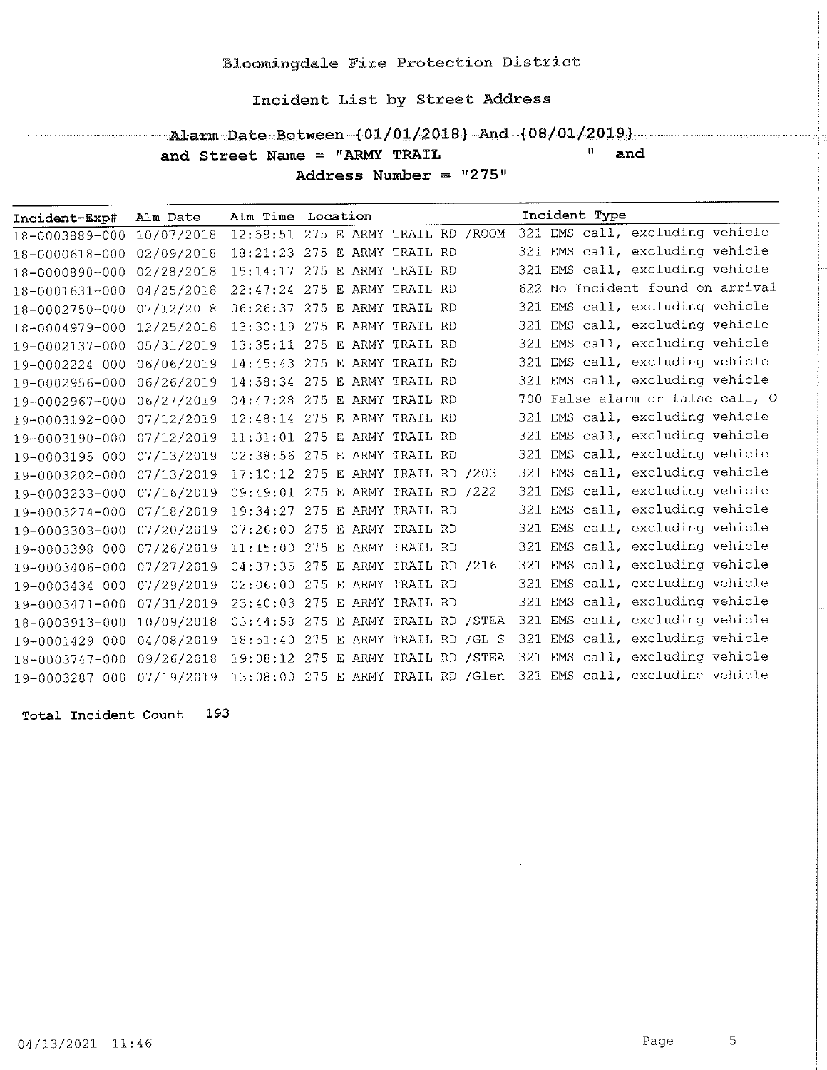- Alarm Date Between (01/01/2018) And (08/01/2019) and Street Name = "ARMY TRAIL " and

Address Number =  $"275"$ 

| Incident-Exp# Alm Date    |            | Alm Time Location                   |  |  |  | Incident Type |                                                                     |  |
|---------------------------|------------|-------------------------------------|--|--|--|---------------|---------------------------------------------------------------------|--|
| 18-0003889-000            | 10/07/2018 | 12:59:51 275 E ARMY TRAIL RD / ROOM |  |  |  |               | 321 EMS call, excluding vehicle                                     |  |
| 18-0000618-000 02/09/2018 |            | 18:21:23 275 E ARMY TRAIL RD        |  |  |  |               | 321 EMS call, excluding vehicle                                     |  |
| 18-0000890-000            | 02/28/2018 | 15:14:17 275 E ARMY TRAIL RD        |  |  |  |               | 321 EMS call, excluding vehicle                                     |  |
| 18-0001631-000 04/25/2018 |            | 22:47:24 275 E ARMY TRAIL RD        |  |  |  |               | 622 No Incident found on arrival                                    |  |
| 18-0002750-000            | 07/12/2018 | 06:26:37 275 E ARMY TRAIL RD        |  |  |  |               | 321 EMS call, excluding vehicle                                     |  |
| 18-0004979-000            | 12/25/2018 | 13:30:19 275 E ARMY TRAIL RD        |  |  |  |               | 321 EMS call, excluding vehicle                                     |  |
| 19-0002137-000 05/31/2019 |            | 13:35:11 275 E ARMY TRAIL RD        |  |  |  |               | 321 EMS call, excluding vehicle                                     |  |
| 19-0002224-000            | 06/06/2019 | 14:45:43 275 E ARMY TRAIL RD        |  |  |  |               | 321 EMS call, excluding vehicle                                     |  |
| 19-0002956-000            | 06/26/2019 | 14:58:34 275 E ARMY TRAIL RD        |  |  |  |               | 321 EMS call, excluding vehicle                                     |  |
| 19-0002967-000            | 06/27/2019 | 04:47:28 275 E ARMY TRAIL RD        |  |  |  |               | 700 False alarm or false call, O                                    |  |
| 19-0003192-000 07/12/2019 |            | 12:48:14 275 E ARMY TRAIL RD        |  |  |  |               | 321 EMS call, excluding vehicle                                     |  |
| 19-0003190-000            | 07/12/2019 | 11:31:01 275 E ARMY TRAIL RD        |  |  |  |               | 321 EMS call, excluding vehicle                                     |  |
| 19-0003195-000 07/13/2019 |            | 02:38:56 275 E ARMY TRAIL RD        |  |  |  |               | 321 EMS call, excluding vehicle                                     |  |
| 19-0003202-000 07/13/2019 |            | 17:10:12 275 E ARMY TRAIL RD /203   |  |  |  |               | 321 EMS call, excluding vehicle                                     |  |
| 19-0003233-000 07/16/2019 |            | 09:49:01 275 E ARMY TRAIL RD /222   |  |  |  |               | 321 EMS call, excluding vehicle                                     |  |
| 19-0003274-000 07/18/2019 |            | 19:34:27 275 E ARMY TRAIL RD        |  |  |  |               | 321 EMS call, excluding vehicle                                     |  |
| 19-0003303-000 07/20/2019 |            | 07:26:00 275 E ARMY TRAIL RD        |  |  |  |               | 321 EMS call, excluding vehicle                                     |  |
| 19-0003398-000 07/26/2019 |            | 11:15:00 275 E ARMY TRAIL RD        |  |  |  |               | 321 EMS call, excluding vehicle                                     |  |
| 19-0003406-000 07/27/2019 |            | 04:37:35 275 E ARMY TRAIL RD /216   |  |  |  |               | 321 EMS call, excluding vehicle                                     |  |
| 19-0003434-000 07/29/2019 |            | 02:06:00 275 E ARMY TRAIL RD        |  |  |  |               | 321 EMS call, excluding vehicle                                     |  |
| 19-0003471-000 07/31/2019 |            | 23:40:03 275 E ARMY TRAIL RD        |  |  |  |               | 321 EMS call, excluding vehicle                                     |  |
| 18-0003913-000 10/09/2018 |            | 03:44:58 275 E ARMY TRAIL RD /STEA  |  |  |  |               | 321 EMS call, excluding vehicle                                     |  |
| 19-0001429-000 04/08/2019 |            | 18:51:40 275 E ARMY TRAIL RD / GL S |  |  |  |               | 321 EMS call, excluding vehicle                                     |  |
| 18-0003747-000 09/26/2018 |            | 19:08:12 275 E ARMY TRAIL RD /STEA  |  |  |  |               | 321 EMS call, excluding vehicle                                     |  |
| 19-0003287-000 07/19/2019 |            |                                     |  |  |  |               | 13:08:00 275 E ARMY TRAIL RD / Glen 321 EMS call, excluding vehicle |  |

Total Incident Count 193

 $04/13/2021$  11:46

 $\overline{5}$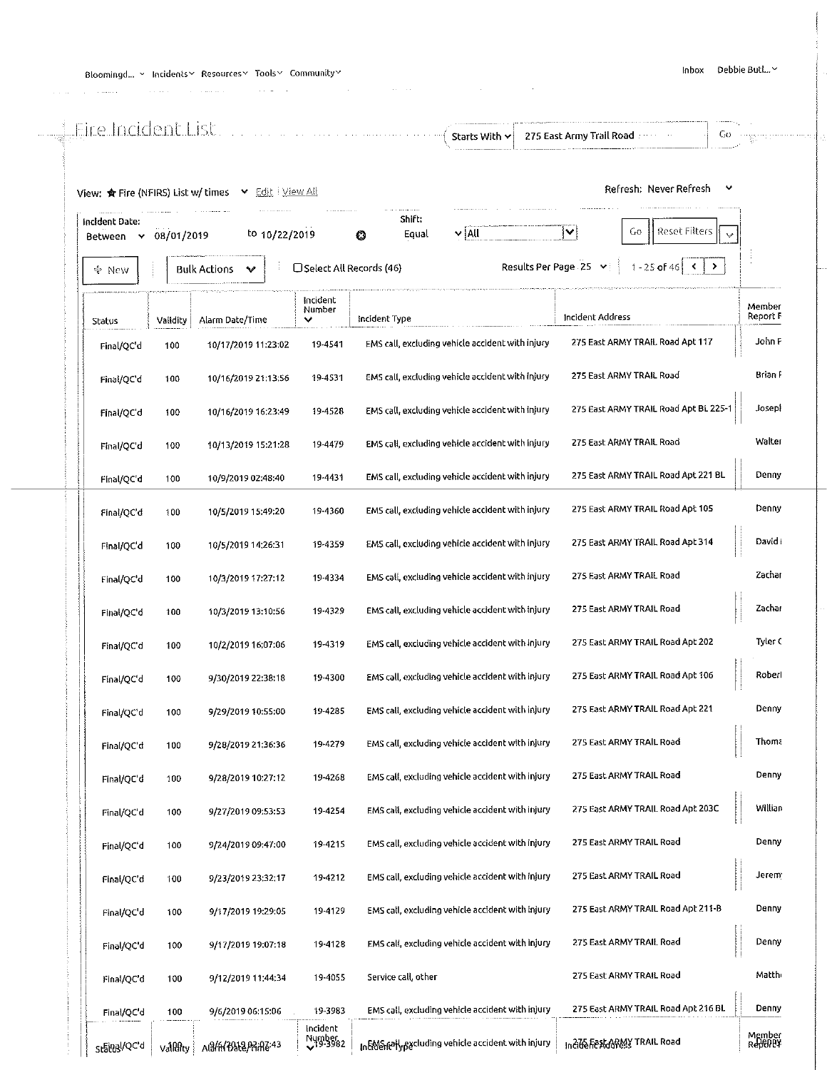is a simple parameter of the constant  $\hat{p}_i$  , we consider the constant of the constant  $\hat{p}_i$ 

|                             |            | View: * Fire (NFIRS) List w/ times v Edit   View All |                                 |                                                    | Refresh: Never Refresh<br>v                                                          |                    |
|-----------------------------|------------|------------------------------------------------------|---------------------------------|----------------------------------------------------|--------------------------------------------------------------------------------------|--------------------|
| Incident Date:<br>Between Y | 08/01/2019 | to $10/22/2019$                                      |                                 | Shift:<br>$\mathbf{v}$ all<br>Equal<br>0           | Reset Filters<br>$\checkmark$<br>Gо<br>$\hat{\mathbf{v}}$                            |                    |
| ೇ New                       |            | <b>Bulk Actions</b><br>v                             | □ Select All Records (46)       |                                                    | Results Per Page 25 v<br>$\left  1 - 25$ of 46 $\left  5 \right $ $\left  2 \right $ |                    |
| Status                      | Validity   | Alarm Date/Time                                      | incident<br>Number              | Incident Type                                      | Incident Address                                                                     | Member<br>Report F |
| Final/QC'd                  | 100        | 10/17/2019 11:23:02                                  | 19-4541                         | EMS call, excluding vehicle accident with injury   | 275 East ARMY TRAIL Road Apt 117                                                     | John F             |
| Final/QC'd                  | 100        | 10/16/2019 21:13:56                                  | 19-4531                         | EMS call, excluding vehicle accident with injury   | 275 East ARMY TRAIL Road                                                             | Brian F            |
| Final/QC d                  | 100        | 10/16/2019 16:23:49                                  | 19-4528                         | EMS call, excluding vehicle accident with injury   | 275 East ARMY TRAIL Road Apt BL 225-1                                                | Josepi             |
| Final/QC d                  | 100        | 10/13/2019 15:21:28                                  | 19-4479                         | EMS call, excluding vehicle accident with injury   | 275 East ARMY TRAIL Road                                                             | Walter             |
| Final/QC'd                  | 100        | 10/9/2019 02:48:40                                   | 19-4431                         | EMS call, excluding vehicle accident with injury   | 275 East ARMY TRAIL Road Apt 221 BL                                                  | Denny              |
| Final/QC'd                  | 100        | 10/5/2019 15:49:20                                   | 19-4360                         | EMS call, excluding vehicle accident with injury   | 275 East ARMY TRAIL Road Apt 105                                                     | Denny              |
| Final/QC'd                  | 100        | 10/5/2019 14:26:31                                   | 19-4359                         | EMS call, excluding vehicle accident with injury   | 275 East ARMY TRAIL Road Apt 314                                                     | David I            |
| Final/QC'd                  | 100        | 10/3/2019 17:27:12                                   | 19-4334                         | EMS call, excluding vehicle accident with injury   | 275 East ARMY TRAIL Road                                                             | Zachar             |
| Final/QC'd                  | 100        | 10/3/2019 13:10:56                                   | 19-4329                         | EMS call, excluding vehicle accident with injury   | 275 East ARMY TRAIL Road                                                             | Zachar             |
| Final/QC'd                  | 100        | 10/2/2019 16:07:06                                   | 19-4319                         | EMS call, excluding vehicle accident with injury   | 275 East ARMY TRAIL Road Apt 202                                                     | Tyler C            |
| Final/QC'd                  | 100        | 9/30/2019 22:38:18                                   | 19-4300                         | EMS call, excluding vehicle accident with injury   | 275 East ARMY TRAIL Road Apt 106                                                     | Roberl             |
| Final/QC'd                  | 100        | 9/29/2019 10:55:00                                   | 19-4285                         | EMS call, excluding vehicle accident with injury   | 275 East ARMY TRAIL Road Apt 221                                                     | Denny              |
| Final/QC'd                  | 100        | 9/28/2019 21:36:36                                   | 19-4279                         | EMS call, excluding vehicle accident with injury   | 275 East ARMY TRAIL Road                                                             | Thom.              |
| Final/QC'd                  | 100        | 9/28/2019 10:27:12                                   | 19-4268                         | EMS call, excluding vehicle accident with injury   | 275 East ARMY TRAIL Road                                                             | Denny              |
| Final/QC'd                  | 100        | 9/27/2019 09:53:53                                   | 19-4254                         | EMS call, excluding vehicle accident with injury   | 275 East ARMY TRAIL Road Apt 203C                                                    | Willian            |
| Final/QC'd                  | 100        | 9/24/2019 09:47:00                                   | 19-4215                         | EMS call, excluding vehicle accident with injury   | 275 East ARMY TRAIL Road                                                             | Denny              |
| Final/QC'd                  | 100        | 9/23/2019 23:32:17                                   | 19-4212                         | EMS call, excluding vehicle accident with injury   | 275 East ARMY TRAIL Road                                                             | Jerem:             |
| Final/QC'd                  | 100        | 9/17/2019 19:29:05                                   | 19-4129                         | EMS call, excluding vehicle accident with injury   | 275 East ARMY TRAIL Road Apt 211-B                                                   | Denny              |
| Final/QC'd                  | 100        | 9/17/2019 19:07:18                                   | 19-4128                         | EMS call, excluding vehicle accident with injury   | 275 East ARMY TRAIL Road                                                             | Denny              |
| Final/QC'd                  | 100        | 9/12/2019 11:44:34                                   | 19-4055                         | Service call, other                                | 275 East ARMY TRAIL Road                                                             | Matthi             |
| Final/QC'd                  | 100        | 9/6/2019 06:15:06                                    | 19-3983                         | EMS call, excluding vehicle accident with injury   | 275 East ARMY TRAIL Road Apt 216 BL                                                  | Denny              |
| State Nay                   | Valility   | ABAA3568 PAAZ:43                                     | Incident<br>Nymber <sub>2</sub> | In EMS rely packuding vehicle accident with injury | Indide Fest ARMY TRAIL Road                                                          | Member<br>Report¥  |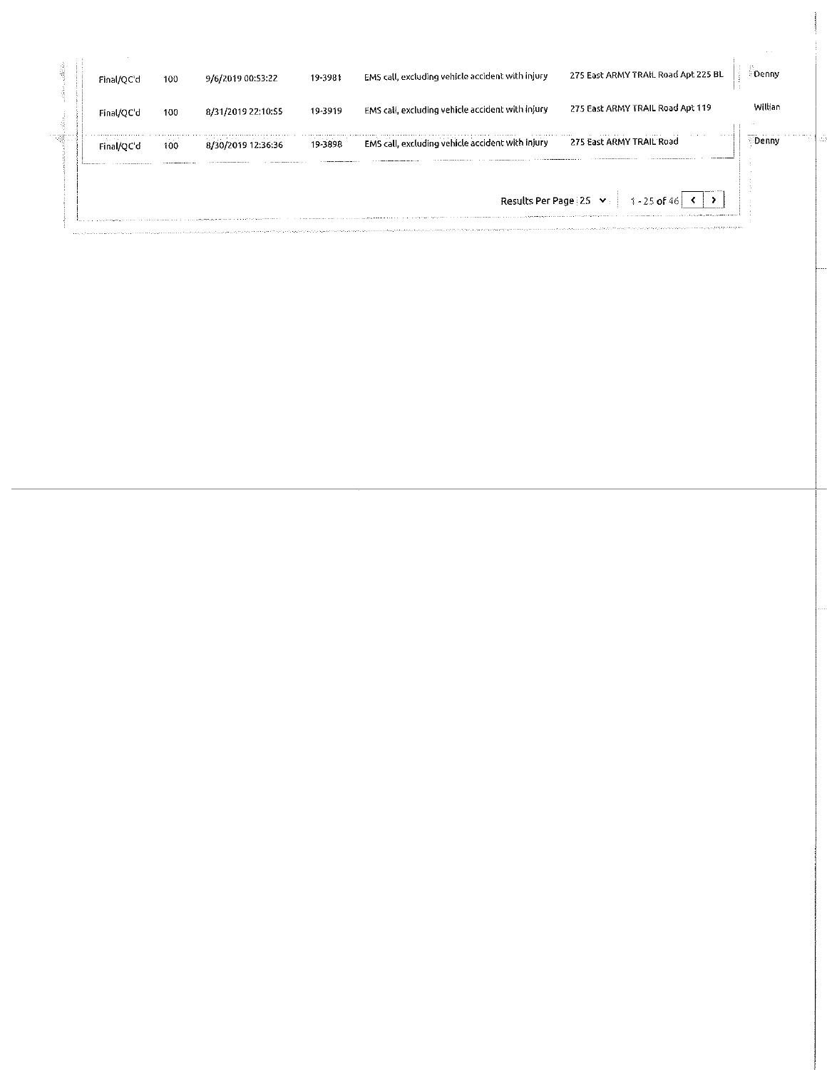| Final/OC'd | 100                   | 9/6/2019 00:53:22  | 19-3981 | EMS call, excluding vehicle accident with injury | 275 East ARMY TRAIL Road Apt 225 BL | :Denny  |
|------------|-----------------------|--------------------|---------|--------------------------------------------------|-------------------------------------|---------|
| Final/QC'd | 100                   | 8/31/2019 22:10:55 | 19-3919 | EMS call, excluding vehicle accident with injury | 275 East ARMY TRAIL Road Apt 119    | Willian |
|            | <b>College</b><br>100 | 8/30/2019 12:36:36 | 19-3898 | EMS call, excluding vehicle accident with injury | 275 East ARMY TRAIL Road            | Denny   |
|            |                       |                    |         | Results Per Page 25                              | $1 - 25$ of 46                      |         |